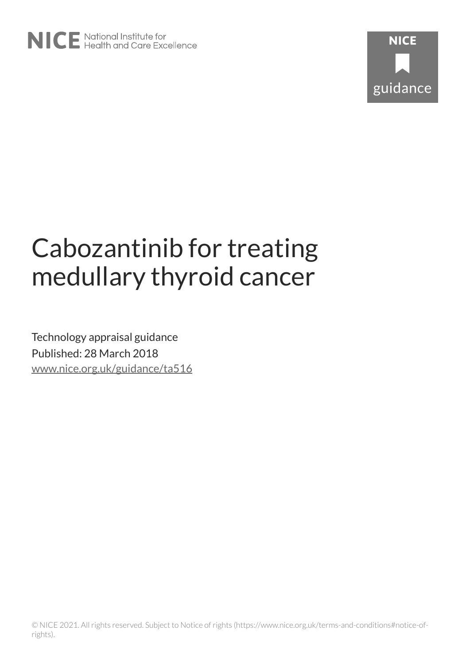

# Cabozantinib for treating medullary thyroid cancer

Technology appraisal guidance Published: 28 March 2018 [www.nice.org.uk/guidance/ta516](https://www.nice.org.uk/guidance/ta516)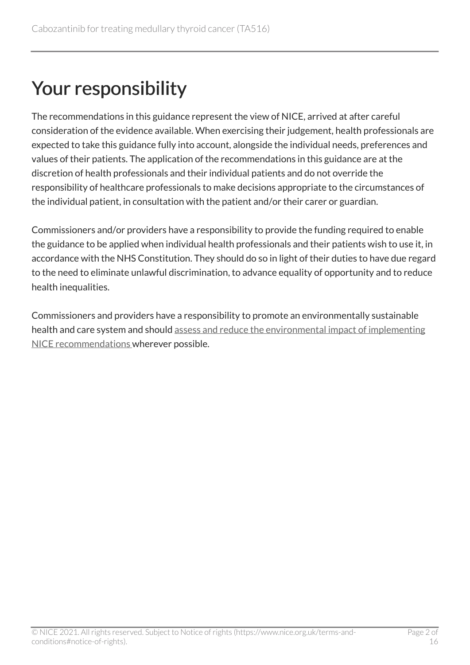## Your responsibility

The recommendations in this guidance represent the view of NICE, arrived at after careful consideration of the evidence available. When exercising their judgement, health professionals are expected to take this guidance fully into account, alongside the individual needs, preferences and values of their patients. The application of the recommendations in this guidance are at the discretion of health professionals and their individual patients and do not override the responsibility of healthcare professionals to make decisions appropriate to the circumstances of the individual patient, in consultation with the patient and/or their carer or guardian.

Commissioners and/or providers have a responsibility to provide the funding required to enable the guidance to be applied when individual health professionals and their patients wish to use it, in accordance with the NHS Constitution. They should do so in light of their duties to have due regard to the need to eliminate unlawful discrimination, to advance equality of opportunity and to reduce health inequalities.

Commissioners and providers have a responsibility to promote an environmentally sustainable health and care system and should [assess and reduce the environmental impact of implementing](https://www.nice.org.uk/about/who-we-are/sustainability)  [NICE recommendations w](https://www.nice.org.uk/about/who-we-are/sustainability)herever possible.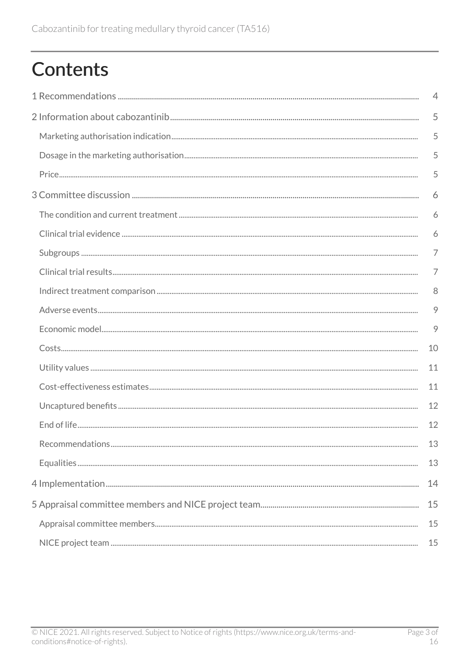# **Contents**

| $\overline{4}$ |
|----------------|
| 5              |
| 5              |
| 5              |
| 5              |
| 6              |
| 6              |
| 6              |
| $\overline{7}$ |
| $\overline{7}$ |
| 8              |
| 9              |
| 9              |
| 10             |
| 11             |
| 11             |
| 12             |
| 12             |
| 13             |
| 13             |
| 14             |
| 15             |
| 15             |
| 15             |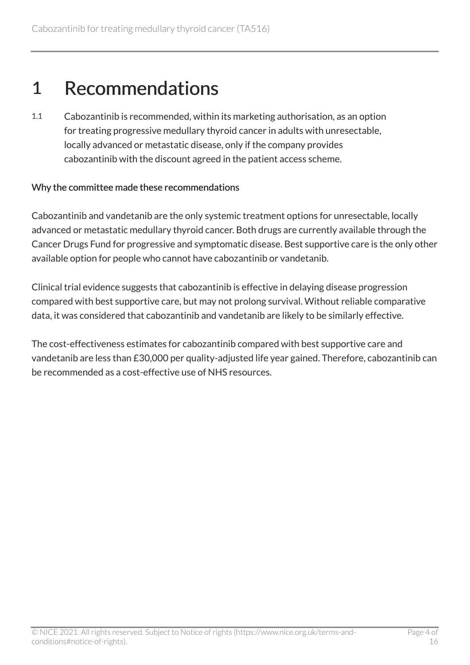### <span id="page-3-0"></span>1 Recommendations

1.1 Cabozantinib is recommended, within its marketing authorisation, as an option for treating progressive medullary thyroid cancer in adults with unresectable, locally advanced or metastatic disease, only if the company provides cabozantinib with the discount agreed in the patient access scheme.

#### Why the committee made these recommendations

Cabozantinib and vandetanib are the only systemic treatment options for unresectable, locally advanced or metastatic medullary thyroid cancer. Both drugs are currently available through the Cancer Drugs Fund for progressive and symptomatic disease. Best supportive care is the only other available option for people who cannot have cabozantinib or vandetanib.

Clinical trial evidence suggests that cabozantinib is effective in delaying disease progression compared with best supportive care, but may not prolong survival. Without reliable comparative data, it was considered that cabozantinib and vandetanib are likely to be similarly effective.

The cost-effectiveness estimates for cabozantinib compared with best supportive care and vandetanib are less than £30,000 per quality-adjusted life year gained. Therefore, cabozantinib can be recommended as a cost-effective use of NHS resources.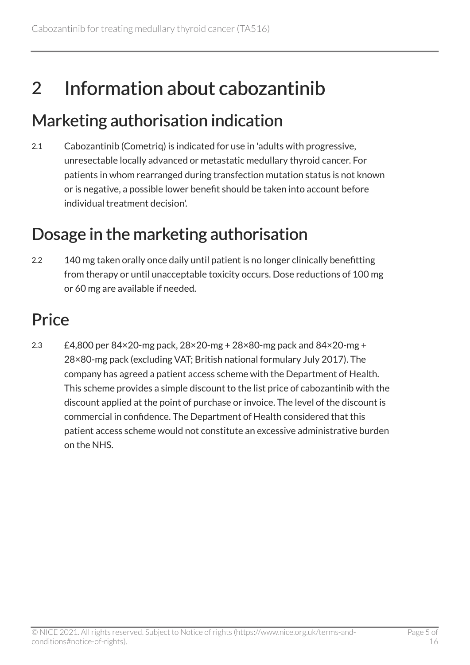## <span id="page-4-0"></span>2 Information about cabozantinib

### <span id="page-4-1"></span>Marketing authorisation indication

2.1 Cabozantinib (Cometriq) is indicated for use in 'adults with progressive, unresectable locally advanced or metastatic medullary thyroid cancer. For patients in whom rearranged during transfection mutation status is not known or is negative, a possible lower benefit should be taken into account before individual treatment decision'.

### <span id="page-4-2"></span>Dosage in the marketing authorisation

2.2 140 mg taken orally once daily until patient is no longer clinically benefitting from therapy or until unacceptable toxicity occurs. Dose reductions of 100 mg or 60 mg are available if needed.

## <span id="page-4-3"></span>**Price**

2.3  $E4,800$  per  $84\times20$ -mg pack,  $28\times20$ -mg +  $28\times80$ -mg pack and  $84\times20$ -mg + 28×80-mg pack (excluding VAT; British national formulary July 2017). The company has agreed a patient access scheme with the Department of Health. This scheme provides a simple discount to the list price of cabozantinib with the discount applied at the point of purchase or invoice. The level of the discount is commercial in confidence. The Department of Health considered that this patient access scheme would not constitute an excessive administrative burden on the NHS.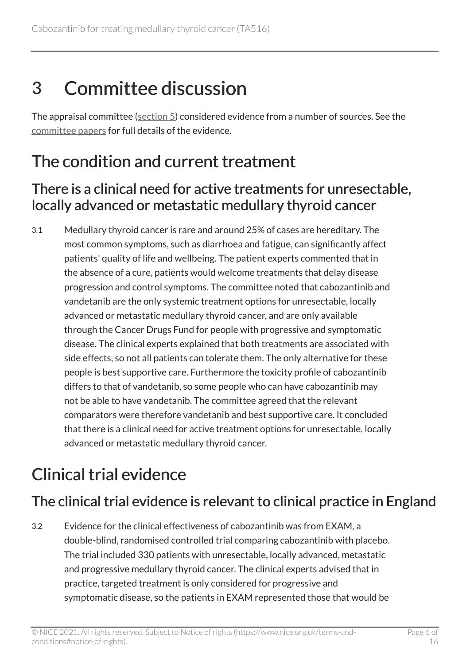# <span id="page-5-0"></span>3 Committee discussion

The appraisal committee ([section 5\)](#page-14-1) considered evidence from a number of sources. See the [committee papers](http://www.nice.org.uk/guidance/TA516/evidence) for full details of the evidence.

## <span id="page-5-1"></span>The condition and current treatment

#### There is a clinical need for active treatments for unresectable, locally advanced or metastatic medullary thyroid cancer

3.1 Medullary thyroid cancer is rare and around 25% of cases are hereditary. The most common symptoms, such as diarrhoea and fatigue, can significantly affect patients' quality of life and wellbeing. The patient experts commented that in the absence of a cure, patients would welcome treatments that delay disease progression and control symptoms. The committee noted that cabozantinib and vandetanib are the only systemic treatment options for unresectable, locally advanced or metastatic medullary thyroid cancer, and are only available through the Cancer Drugs Fund for people with progressive and symptomatic disease. The clinical experts explained that both treatments are associated with side effects, so not all patients can tolerate them. The only alternative for these people is best supportive care. Furthermore the toxicity profile of cabozantinib differs to that of vandetanib, so some people who can have cabozantinib may not be able to have vandetanib. The committee agreed that the relevant comparators were therefore vandetanib and best supportive care. It concluded that there is a clinical need for active treatment options for unresectable, locally advanced or metastatic medullary thyroid cancer.

## <span id="page-5-2"></span>Clinical trial evidence

### The clinical trial evidence is relevant to clinical practice in England

3.2 Evidence for the clinical effectiveness of cabozantinib was from EXAM, a double-blind, randomised controlled trial comparing cabozantinib with placebo. The trial included 330 patients with unresectable, locally advanced, metastatic and progressive medullary thyroid cancer. The clinical experts advised that in practice, targeted treatment is only considered for progressive and symptomatic disease, so the patients in EXAM represented those that would be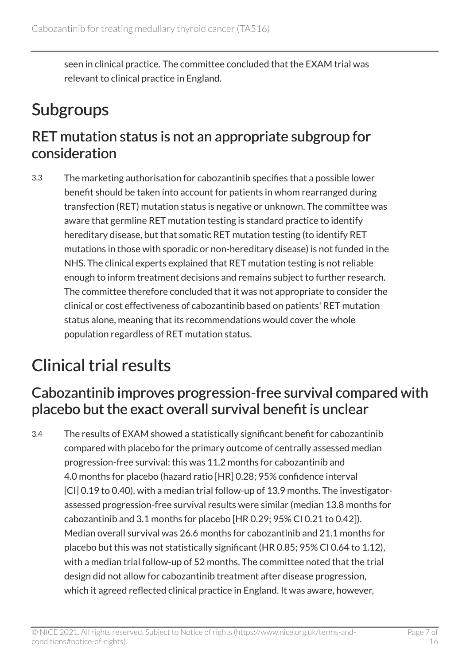seen in clinical practice. The committee concluded that the EXAM trial was relevant to clinical practice in England.

## <span id="page-6-0"></span>Subgroups

### RET mutation status is not an appropriate subgroup for consideration

3.3 The marketing authorisation for cabozantinib specifies that a possible lower benefit should be taken into account for patients in whom rearranged during transfection (RET) mutation status is negative or unknown. The committee was aware that germline RET mutation testing is standard practice to identify hereditary disease, but that somatic RET mutation testing (to identify RET mutations in those with sporadic or non-hereditary disease) is not funded in the NHS. The clinical experts explained that RET mutation testing is not reliable enough to inform treatment decisions and remains subject to further research. The committee therefore concluded that it was not appropriate to consider the clinical or cost effectiveness of cabozantinib based on patients' RET mutation status alone, meaning that its recommendations would cover the whole population regardless of RET mutation status.

## <span id="page-6-1"></span>Clinical trial results

### Cabozantinib improves progression-free survival compared with placebo but the exact overall survival benefit is unclear

3.4 The results of EXAM showed a statistically significant benefit for cabozantinib compared with placebo for the primary outcome of centrally assessed median progression-free survival: this was 11.2 months for cabozantinib and 4.0 months for placebo (hazard ratio [HR] 0.28; 95% confidence interval [CI] 0.19 to 0.40), with a median trial follow-up of 13.9 months. The investigatorassessed progression-free survival results were similar (median 13.8 months for cabozantinib and 3.1 months for placebo [HR 0.29; 95% CI 0.21 to 0.42]). Median overall survival was 26.6 months for cabozantinib and 21.1 months for placebo but this was not statistically significant (HR 0.85; 95% CI 0.64 to 1.12), with a median trial follow-up of 52 months. The committee noted that the trial design did not allow for cabozantinib treatment after disease progression, which it agreed reflected clinical practice in England. It was aware, however,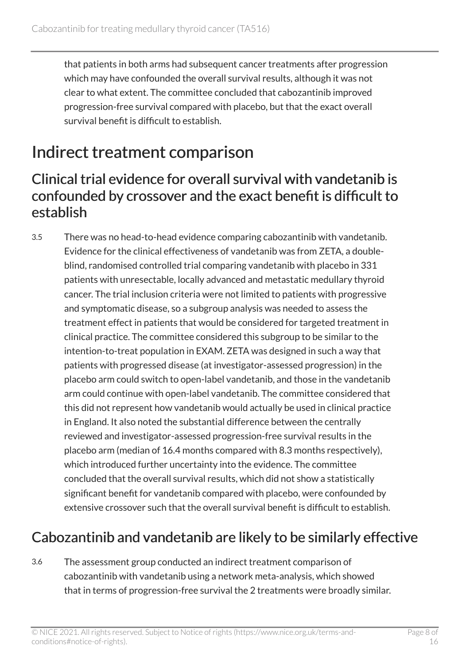that patients in both arms had subsequent cancer treatments after progression which may have confounded the overall survival results, although it was not clear to what extent. The committee concluded that cabozantinib improved progression-free survival compared with placebo, but that the exact overall survival benefit is difficult to establish.

### <span id="page-7-0"></span>Indirect treatment comparison

#### Clinical trial evidence for overall survival with vandetanib is confounded by crossover and the exact benefit is difficult to establish

3.5 There was no head-to-head evidence comparing cabozantinib with vandetanib. Evidence for the clinical effectiveness of vandetanib was from ZETA, a doubleblind, randomised controlled trial comparing vandetanib with placebo in 331 patients with unresectable, locally advanced and metastatic medullary thyroid cancer. The trial inclusion criteria were not limited to patients with progressive and symptomatic disease, so a subgroup analysis was needed to assess the treatment effect in patients that would be considered for targeted treatment in clinical practice. The committee considered this subgroup to be similar to the intention-to-treat population in EXAM. ZETA was designed in such a way that patients with progressed disease (at investigator-assessed progression) in the placebo arm could switch to open-label vandetanib, and those in the vandetanib arm could continue with open-label vandetanib. The committee considered that this did not represent how vandetanib would actually be used in clinical practice in England. It also noted the substantial difference between the centrally reviewed and investigator-assessed progression-free survival results in the placebo arm (median of 16.4 months compared with 8.3 months respectively), which introduced further uncertainty into the evidence. The committee concluded that the overall survival results, which did not show a statistically significant benefit for vandetanib compared with placebo, were confounded by extensive crossover such that the overall survival benefit is difficult to establish.

### <span id="page-7-1"></span>Cabozantinib and vandetanib are likely to be similarly effective

3.6 The assessment group conducted an indirect treatment comparison of cabozantinib with vandetanib using a network meta-analysis, which showed that in terms of progression-free survival the 2 treatments were broadly similar.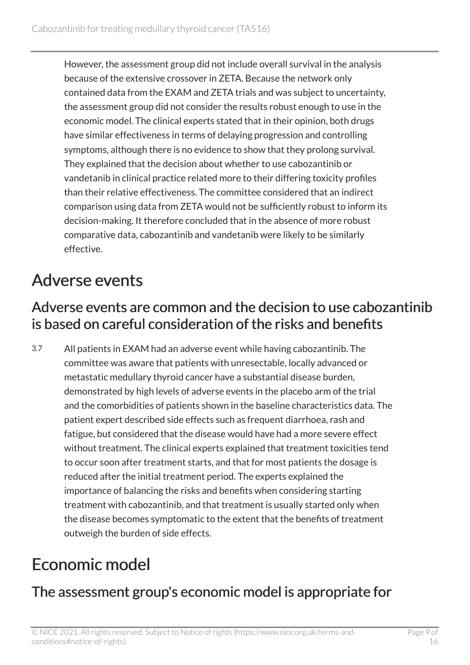However, the assessment group did not include overall survival in the analysis because of the extensive crossover in ZETA. Because the network only contained data from the EXAM and ZETA trials and was subject to uncertainty, the assessment group did not consider the results robust enough to use in the economic model. The clinical experts stated that in their opinion, both drugs have similar effectiveness in terms of delaying progression and controlling symptoms, although there is no evidence to show that they prolong survival. They explained that the decision about whether to use cabozantinib or vandetanib in clinical practice related more to their differing toxicity profiles than their relative effectiveness. The committee considered that an indirect comparison using data from ZETA would not be sufficiently robust to inform its decision-making. It therefore concluded that in the absence of more robust comparative data, cabozantinib and vandetanib were likely to be similarly effective.

### <span id="page-8-0"></span>Adverse events

#### Adverse events are common and the decision to use cabozantinib is based on careful consideration of the risks and benefits

3.7 All patients in EXAM had an adverse event while having cabozantinib. The committee was aware that patients with unresectable, locally advanced or metastatic medullary thyroid cancer have a substantial disease burden, demonstrated by high levels of adverse events in the placebo arm of the trial and the comorbidities of patients shown in the baseline characteristics data. The patient expert described side effects such as frequent diarrhoea, rash and fatigue, but considered that the disease would have had a more severe effect without treatment. The clinical experts explained that treatment toxicities tend to occur soon after treatment starts, and that for most patients the dosage is reduced after the initial treatment period. The experts explained the importance of balancing the risks and benefits when considering starting treatment with cabozantinib, and that treatment is usually started only when the disease becomes symptomatic to the extent that the benefits of treatment outweigh the burden of side effects.

## <span id="page-8-1"></span>Economic model

### The assessment group's economic model is appropriate for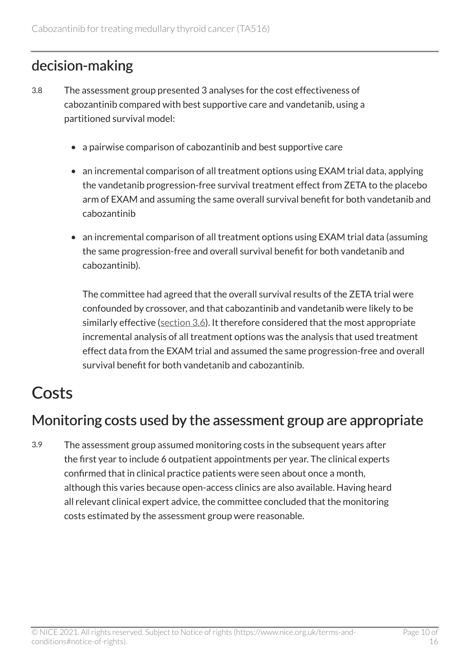### decision-making

- 3.8 The assessment group presented 3 analyses for the cost effectiveness of cabozantinib compared with best supportive care and vandetanib, using a partitioned survival model:
	- a pairwise comparison of cabozantinib and best supportive care
	- an incremental comparison of all treatment options using EXAM trial data, applying the vandetanib progression-free survival treatment effect from ZETA to the placebo arm of EXAM and assuming the same overall survival benefit for both vandetanib and cabozantinib
	- an incremental comparison of all treatment options using EXAM trial data (assuming the same progression-free and overall survival benefit for both vandetanib and cabozantinib).

The committee had agreed that the overall survival results of the ZETA trial were confounded by crossover, and that cabozantinib and vandetanib were likely to be similarly effective [\(section 3.6](#page-7-1)). It therefore considered that the most appropriate incremental analysis of all treatment options was the analysis that used treatment effect data from the EXAM trial and assumed the same progression-free and overall survival benefit for both vandetanib and cabozantinib.

## <span id="page-9-0"></span>Costs

### Monitoring costs used by the assessment group are appropriate

3.9 The assessment group assumed monitoring costs in the subsequent years after the first year to include 6 outpatient appointments per year. The clinical experts confirmed that in clinical practice patients were seen about once a month, although this varies because open-access clinics are also available. Having heard all relevant clinical expert advice, the committee concluded that the monitoring costs estimated by the assessment group were reasonable.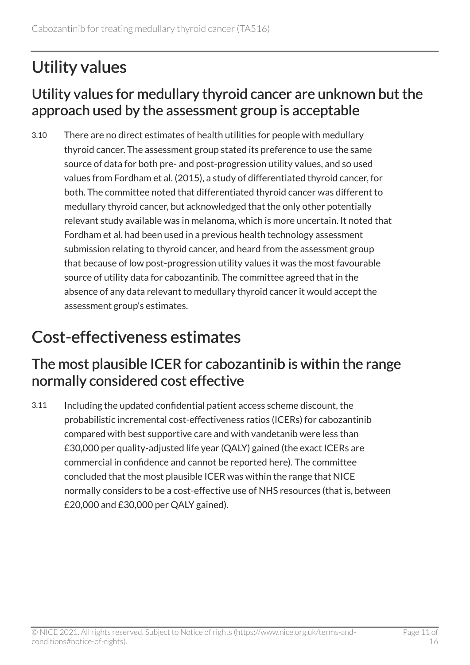## <span id="page-10-0"></span>Utility values

#### Utility values for medullary thyroid cancer are unknown but the approach used by the assessment group is acceptable

3.10 There are no direct estimates of health utilities for people with medullary thyroid cancer. The assessment group stated its preference to use the same source of data for both pre- and post-progression utility values, and so used values from Fordham et al. (2015), a study of differentiated thyroid cancer, for both. The committee noted that differentiated thyroid cancer was different to medullary thyroid cancer, but acknowledged that the only other potentially relevant study available was in melanoma, which is more uncertain. It noted that Fordham et al. had been used in a previous health technology assessment submission relating to thyroid cancer, and heard from the assessment group that because of low post-progression utility values it was the most favourable source of utility data for cabozantinib. The committee agreed that in the absence of any data relevant to medullary thyroid cancer it would accept the assessment group's estimates.

### <span id="page-10-1"></span>Cost-effectiveness estimates

### The most plausible ICER for cabozantinib is within the range normally considered cost effective

3.11 Including the updated confidential patient access scheme discount, the probabilistic incremental cost-effectiveness ratios (ICERs) for cabozantinib compared with best supportive care and with vandetanib were less than £30,000 per quality-adjusted life year (QALY) gained (the exact ICERs are commercial in confidence and cannot be reported here). The committee concluded that the most plausible ICER was within the range that NICE normally considers to be a cost-effective use of NHS resources (that is, between £20,000 and £30,000 per QALY gained).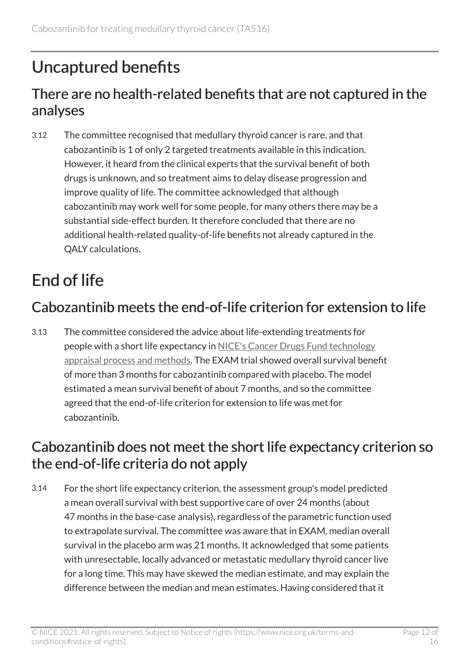## <span id="page-11-0"></span>Uncaptured benefits

### There are no health-related benefits that are not captured in the analyses

3.12 The committee recognised that medullary thyroid cancer is rare, and that cabozantinib is 1 of only 2 targeted treatments available in this indication. However, it heard from the clinical experts that the survival benefit of both drugs is unknown, and so treatment aims to delay disease progression and improve quality of life. The committee acknowledged that although cabozantinib may work well for some people, for many others there may be a substantial side-effect burden. It therefore concluded that there are no additional health-related quality-of-life benefits not already captured in the QALY calculations.

## <span id="page-11-1"></span>End of life

### Cabozantinib meets the end-of-life criterion for extension to life

3.13 The committee considered the advice about life-extending treatments for people with a short life expectancy in [NICE's Cancer Drugs Fund technology](https://www.nice.org.uk/about/what-we-do/our-programmes/nice-guidance/nice-technology-appraisal-guidance/cancer-drugs-fund)  [appraisal process and methods](https://www.nice.org.uk/about/what-we-do/our-programmes/nice-guidance/nice-technology-appraisal-guidance/cancer-drugs-fund). The EXAM trial showed overall survival benefit of more than 3 months for cabozantinib compared with placebo. The model estimated a mean survival benefit of about 7 months, and so the committee agreed that the end-of-life criterion for extension to life was met for cabozantinib.

### Cabozantinib does not meet the short life expectancy criterion so the end-of-life criteria do not apply

3.14 For the short life expectancy criterion, the assessment group's model predicted a mean overall survival with best supportive care of over 24 months (about 47 months in the base-case analysis), regardless of the parametric function used to extrapolate survival. The committee was aware that in EXAM, median overall survival in the placebo arm was 21 months. It acknowledged that some patients with unresectable, locally advanced or metastatic medullary thyroid cancer live for a long time. This may have skewed the median estimate, and may explain the difference between the median and mean estimates. Having considered that it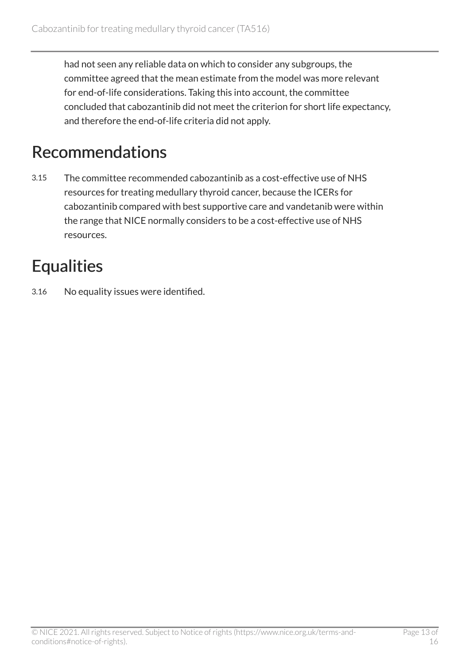had not seen any reliable data on which to consider any subgroups, the committee agreed that the mean estimate from the model was more relevant for end-of-life considerations. Taking this into account, the committee concluded that cabozantinib did not meet the criterion for short life expectancy, and therefore the end-of-life criteria did not apply.

## <span id="page-12-0"></span>Recommendations

3.15 The committee recommended cabozantinib as a cost-effective use of NHS resources for treating medullary thyroid cancer, because the ICERs for cabozantinib compared with best supportive care and vandetanib were within the range that NICE normally considers to be a cost-effective use of NHS resources.

## <span id="page-12-1"></span>**Equalities**

3.16 No equality issues were identified.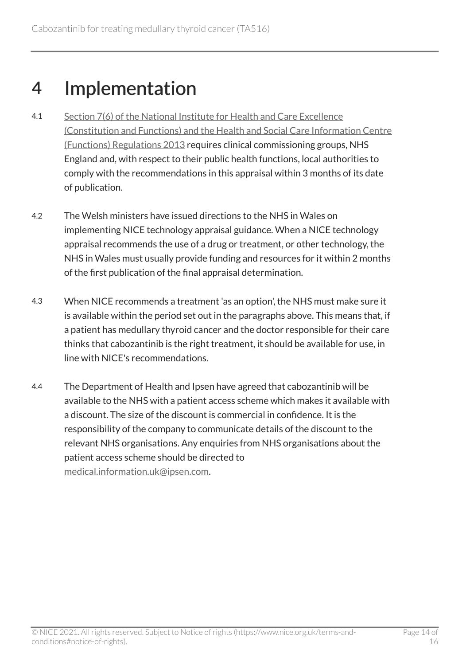## <span id="page-13-0"></span>4 Implementation

- 4.1 [Section 7\(6\) of the National Institute for Health and Care Excellence](http://www.legislation.gov.uk/uksi/2013/259/contents/made)  [\(Constitution and Functions\) and the Health and Social Care Information Centre](http://www.legislation.gov.uk/uksi/2013/259/contents/made)  [\(Functions\) Regulations 2013](http://www.legislation.gov.uk/uksi/2013/259/contents/made) requires clinical commissioning groups, NHS England and, with respect to their public health functions, local authorities to comply with the recommendations in this appraisal within 3 months of its date of publication.
- 4.2 The Welsh ministers have issued directions to the NHS in Wales on implementing NICE technology appraisal guidance. When a NICE technology appraisal recommends the use of a drug or treatment, or other technology, the NHS in Wales must usually provide funding and resources for it within 2 months of the first publication of the final appraisal determination.
- 4.3 When NICE recommends a treatment 'as an option', the NHS must make sure it is available within the period set out in the paragraphs above. This means that, if a patient has medullary thyroid cancer and the doctor responsible for their care thinks that cabozantinib is the right treatment, it should be available for use, in line with NICE's recommendations.
- 4.4 The Department of Health and Ipsen have agreed that cabozantinib will be available to the NHS with a patient access scheme which makes it available with a discount. The size of the discount is commercial in confidence. It is the responsibility of the company to communicate details of the discount to the relevant NHS organisations. Any enquiries from NHS organisations about the patient access scheme should be directed to [medical.information.uk@ipsen.com.](mailto:medical.information.uk@ipsen.com)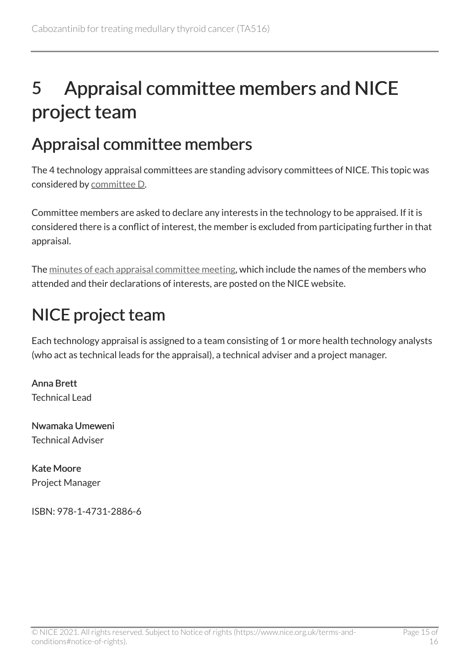# <span id="page-14-0"></span>5 Appraisal committee members and NICE project team

### <span id="page-14-1"></span>Appraisal committee members

The 4 technology appraisal committees are standing advisory committees of NICE. This topic was considered by [committee D](https://www.nice.org.uk/Get-Involved/Meetings-in-public/Technology-appraisal-Committee/Committee-D-Members).

Committee members are asked to declare any interests in the technology to be appraised. If it is considered there is a conflict of interest, the member is excluded from participating further in that appraisal.

The [minutes of each appraisal committee meeting](https://www.nice.org.uk/get-involved/meetings-in-public/technology-appraisal-committee), which include the names of the members who attended and their declarations of interests, are posted on the NICE website.

## <span id="page-14-2"></span>NICE project team

Each technology appraisal is assigned to a team consisting of 1 or more health technology analysts (who act as technical leads for the appraisal), a technical adviser and a project manager.

Anna Brett Technical Lead

Nwamaka Umeweni Technical Adviser

Kate Moore Project Manager

ISBN: 978-1-4731-2886-6